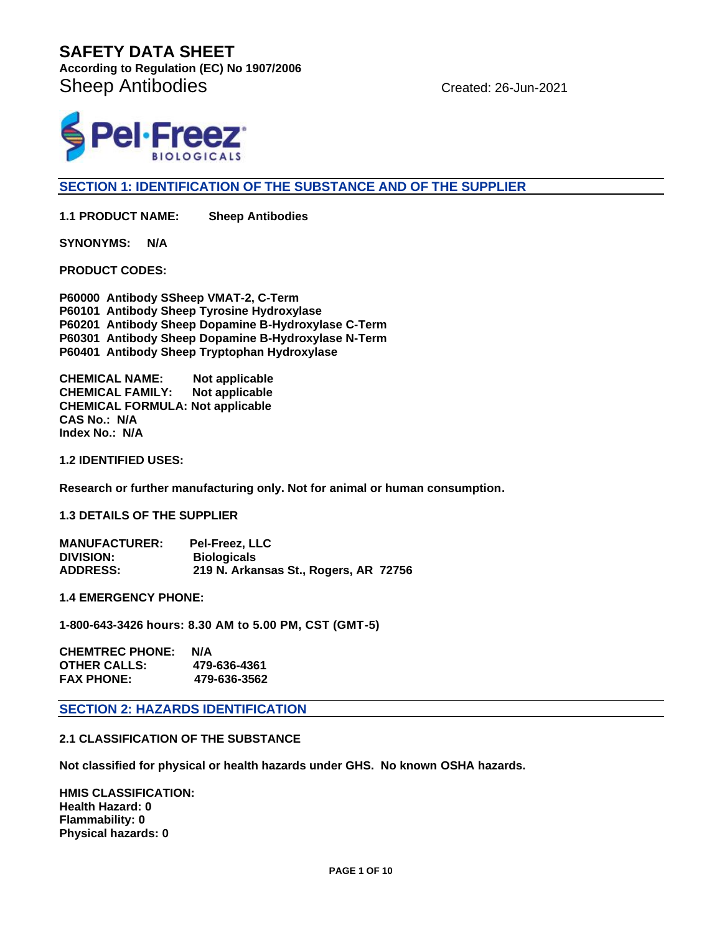**According to Regulation (EC) No 1907/2006**  Sheep Antibodies Created: 26-Jun-2021



**SECTION 1: IDENTIFICATION OF THE SUBSTANCE AND OF THE SUPPLIER**

**1.1 PRODUCT NAME: Sheep Antibodies**

**SYNONYMS: N/A** 

**PRODUCT CODES:** 

**P60000 Antibody SSheep VMAT-2, C-Term P60101 Antibody Sheep Tyrosine Hydroxylase P60201 Antibody Sheep Dopamine B-Hydroxylase C-Term P60301 Antibody Sheep Dopamine B-Hydroxylase N-Term P60401 Antibody Sheep Tryptophan Hydroxylase**

**CHEMICAL NAME: Not applicable CHEMICAL FAMILY: Not applicable CHEMICAL FORMULA: Not applicable CAS No.: N/A Index No.: N/A**

**1.2 IDENTIFIED USES:**

**Research or further manufacturing only. Not for animal or human consumption.**

**1.3 DETAILS OF THE SUPPLIER**

| <b>MANUFACTURER:</b> | <b>Pel-Freez, LLC</b>                 |
|----------------------|---------------------------------------|
| <b>DIVISION:</b>     | <b>Biologicals</b>                    |
| <b>ADDRESS:</b>      | 219 N. Arkansas St., Rogers, AR 72756 |

**1.4 EMERGENCY PHONE:** 

**1-800-643-3426 hours: 8.30 AM to 5.00 PM, CST (GMT-5)**

**CHEMTREC PHONE: N/A OTHER CALLS: 479-636-4361 FAX PHONE: 479-636-3562**

**SECTION 2: HAZARDS IDENTIFICATION**

### **2.1 CLASSIFICATION OF THE SUBSTANCE**

**Not classified for physical or health hazards under GHS. No known OSHA hazards.**

**HMIS CLASSIFICATION: Health Hazard: 0 Flammability: 0 Physical hazards: 0**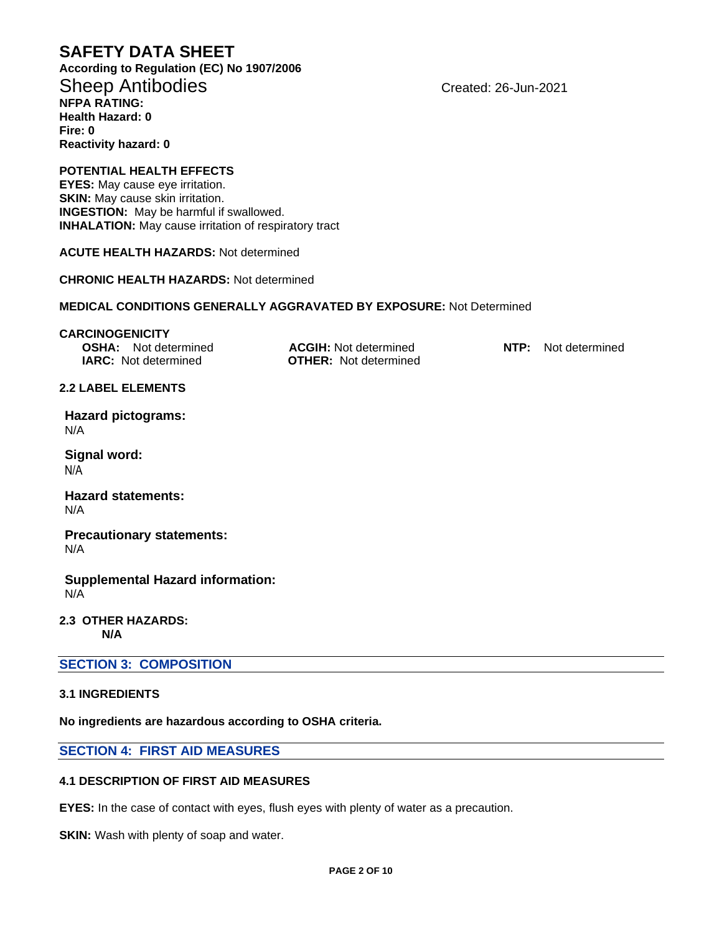**According to Regulation (EC) No 1907/2006** 

Sheep Antibodies Created: 26-Jun-2021 **NFPA RATING: Health Hazard: 0 Fire: 0 Reactivity hazard: 0**

### **POTENTIAL HEALTH EFFECTS**

**EYES:** May cause eye irritation. **SKIN:** May cause skin irritation. **INGESTION:** May be harmful if swallowed. **INHALATION:** May cause irritation of respiratory tract

**ACUTE HEALTH HAZARDS:** Not determined

**CHRONIC HEALTH HAZARDS:** Not determined

### **MEDICAL CONDITIONS GENERALLY AGGRAVATED BY EXPOSURE:** Not Determined

#### **CARCINOGENICITY**

**OSHA:** Not determined **ACGIH:** Not determined **NTP:** Not determined **IARC:** Not determined **IARC:** Not determined

**OTHER:** Not determined

# **2.2 LABEL ELEMENTS**

**Hazard pictograms:** N/A

**Signal word:** N/A

**Hazard statements:** N/A

**Precautionary statements:** N/A

**Supplemental Hazard information:** N/A

**2.3 OTHER HAZARDS: N/A**

### **SECTION 3: COMPOSITION**

### **3.1 INGREDIENTS**

**No ingredients are hazardous according to OSHA criteria.**

### **SECTION 4: FIRST AID MEASURES**

### **4.1 DESCRIPTION OF FIRST AID MEASURES**

**EYES:** In the case of contact with eyes, flush eyes with plenty of water as a precaution.

**SKIN:** Wash with plenty of soap and water.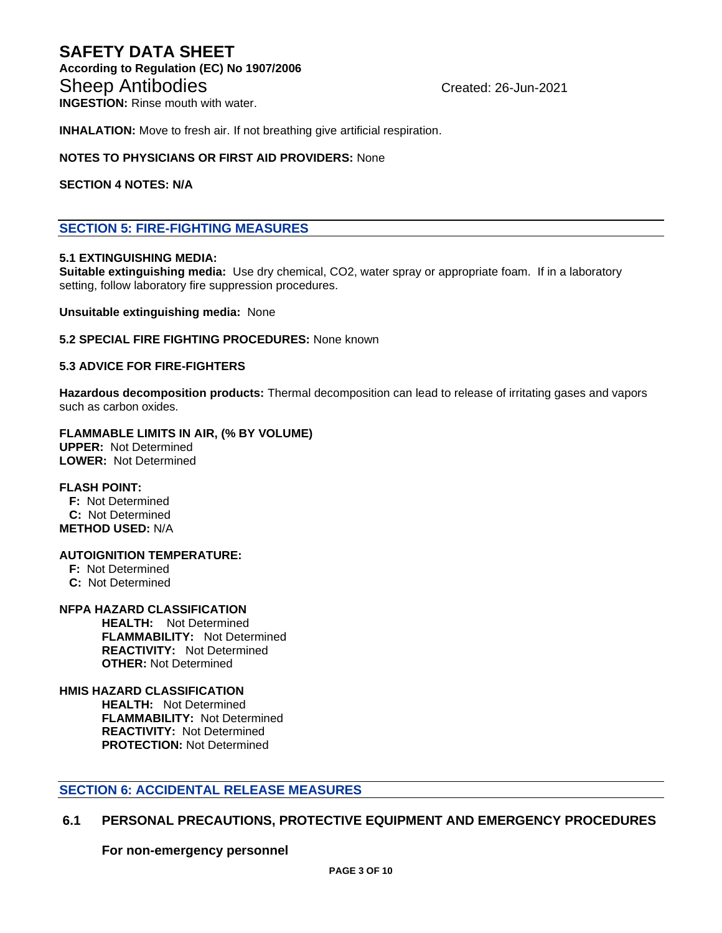### **SAFETY DATA SHEET According to Regulation (EC) No 1907/2006**  Sheep Antibodies Created: 26-Jun-2021 **INGESTION:** Rinse mouth with water.

**INHALATION:** Move to fresh air. If not breathing give artificial respiration.

### **NOTES TO PHYSICIANS OR FIRST AID PROVIDERS:** None

### **SECTION 4 NOTES: N/A**

### **SECTION 5: FIRE-FIGHTING MEASURES**

#### **5.1 EXTINGUISHING MEDIA:**

**Suitable extinguishing media:** Use dry chemical, CO2, water spray or appropriate foam. If in a laboratory setting, follow laboratory fire suppression procedures.

**Unsuitable extinguishing media:** None

#### **5.2 SPECIAL FIRE FIGHTING PROCEDURES:** None known

#### **5.3 ADVICE FOR FIRE-FIGHTERS**

**Hazardous decomposition products:** Thermal decomposition can lead to release of irritating gases and vapors such as carbon oxides.

#### **FLAMMABLE LIMITS IN AIR, (% BY VOLUME) UPPER:** Not Determined

**LOWER:** Not Determined

### **FLASH POINT:**

 **F:** Not Determined  **C:** Not Determined **METHOD USED:** N/A

#### **AUTOIGNITION TEMPERATURE:**

- **F:** Not Determined
- **C:** Not Determined

### **NFPA HAZARD CLASSIFICATION**

 **HEALTH:** Not Determined **FLAMMABILITY:** Not Determined **REACTIVITY:** Not Determined  **OTHER:** Not Determined

#### **HMIS HAZARD CLASSIFICATION**

 **HEALTH:** Not Determined **FLAMMABILITY:** Not Determined **REACTIVITY:** Not Determined  **PROTECTION:** Not Determined

### **SECTION 6: ACCIDENTAL RELEASE MEASURES**

### **6.1 PERSONAL PRECAUTIONS, PROTECTIVE EQUIPMENT AND EMERGENCY PROCEDURES**

**For non-emergency personnel**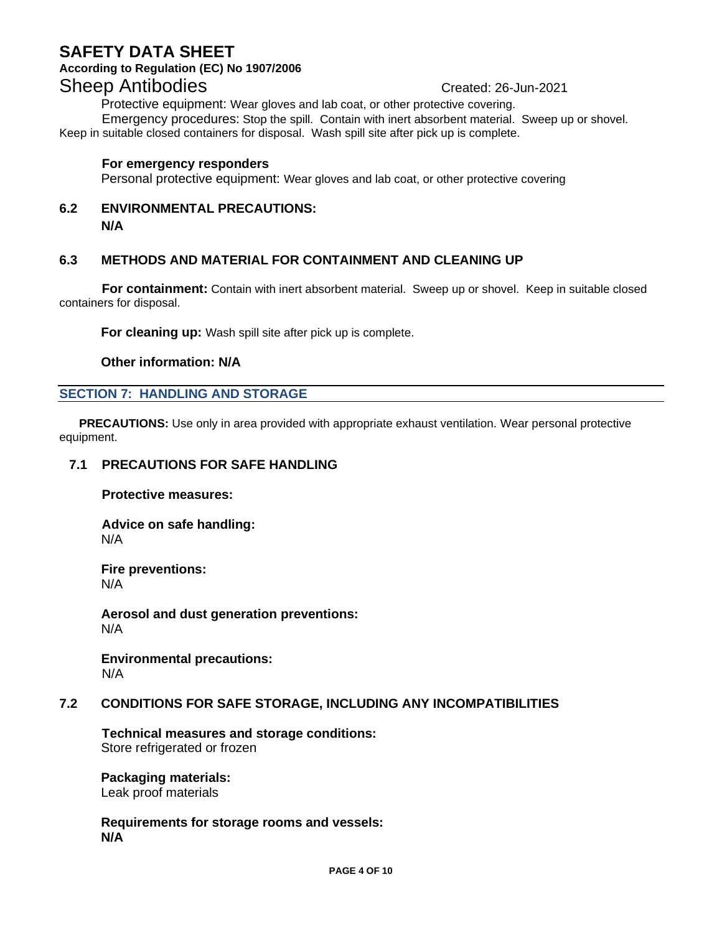### **According to Regulation (EC) No 1907/2006**

### Sheep Antibodies Created: 26-Jun-2021

Protective equipment: Wear gloves and lab coat, or other protective covering.

Emergency procedures: Stop the spill. Contain with inert absorbent material. Sweep up or shovel. Keep in suitable closed containers for disposal. Wash spill site after pick up is complete.

### **For emergency responders**

Personal protective equipment: Wear gloves and lab coat, or other protective covering

### **6.2 ENVIRONMENTAL PRECAUTIONS: N/A**

### **6.3 METHODS AND MATERIAL FOR CONTAINMENT AND CLEANING UP**

**For containment:** Contain with inert absorbent material. Sweep up or shovel. Keep in suitable closed containers for disposal.

**For cleaning up:** Wash spill site after pick up is complete.

### **Other information: N/A**

### **SECTION 7: HANDLING AND STORAGE**

 **PRECAUTIONS:** Use only in area provided with appropriate exhaust ventilation. Wear personal protective equipment.

### **7.1 PRECAUTIONS FOR SAFE HANDLING**

**Protective measures:**

**Advice on safe handling:** N/A

**Fire preventions:** N/A

**Aerosol and dust generation preventions:** N/A

**Environmental precautions:** N/A

### **7.2 CONDITIONS FOR SAFE STORAGE, INCLUDING ANY INCOMPATIBILITIES**

**Technical measures and storage conditions:** Store refrigerated or frozen

**Packaging materials:** Leak proof materials

**Requirements for storage rooms and vessels: N/A**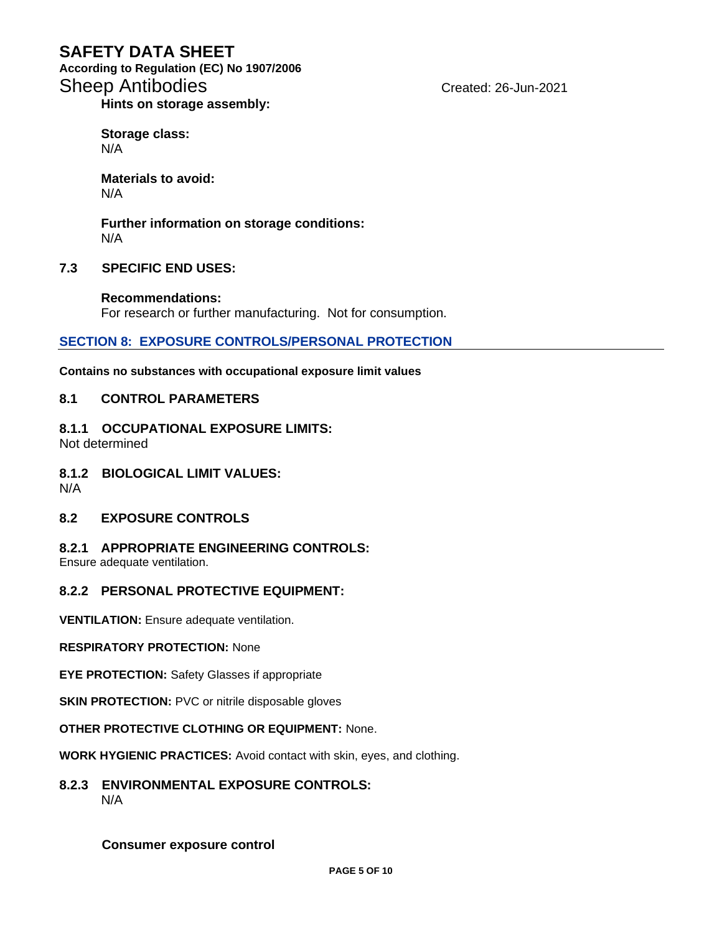**According to Regulation (EC) No 1907/2006**  Sheep Antibodies Created: 26-Jun-2021

**Hints on storage assembly:**

**Storage class:** N/A

**Materials to avoid:** N/A

**Further information on storage conditions:** N/A

### **7.3 SPECIFIC END USES:**

**Recommendations:** For research or further manufacturing. Not for consumption.

### **SECTION 8: EXPOSURE CONTROLS/PERSONAL PROTECTION**

**Contains no substances with occupational exposure limit values**

### **8.1 CONTROL PARAMETERS**

#### **8.1.1 OCCUPATIONAL EXPOSURE LIMITS:** Not determined

**8.1.2 BIOLOGICAL LIMIT VALUES:**

N/A

### **8.2 EXPOSURE CONTROLS**

### **8.2.1 APPROPRIATE ENGINEERING CONTROLS:**

Ensure adequate ventilation.

### **8.2.2 PERSONAL PROTECTIVE EQUIPMENT:**

**VENTILATION:** Ensure adequate ventilation.

### **RESPIRATORY PROTECTION:** None

**EYE PROTECTION:** Safety Glasses if appropriate

**SKIN PROTECTION: PVC or nitrile disposable gloves** 

**OTHER PROTECTIVE CLOTHING OR EQUIPMENT:** None.

**WORK HYGIENIC PRACTICES:** Avoid contact with skin, eyes, and clothing.

**8.2.3 ENVIRONMENTAL EXPOSURE CONTROLS:** N/A

### **Consumer exposure control**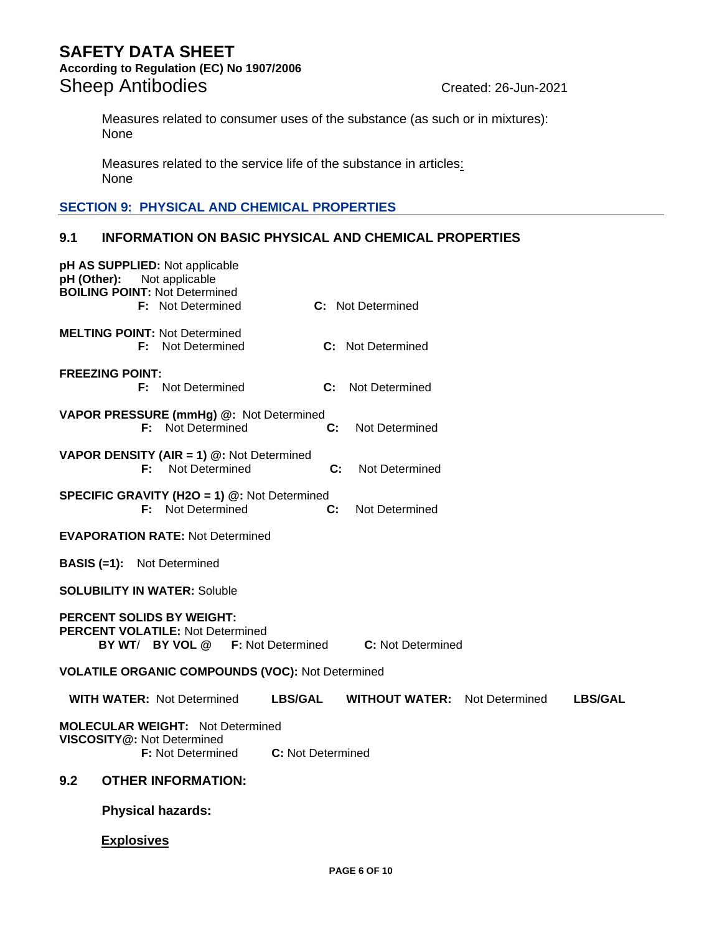### **SAFETY DATA SHEET According to Regulation (EC) No 1907/2006**

### Sheep Antibodies Created: 26-Jun-2021

Measures related to consumer uses of the substance (as such or in mixtures): None

Measures related to the service life of the substance in articles: None

### **SECTION 9: PHYSICAL AND CHEMICAL PROPERTIES**

### **9.1 INFORMATION ON BASIC PHYSICAL AND CHEMICAL PROPERTIES**

| pH AS SUPPLIED: Not applicable<br>pH (Other):<br><b>BOILING POINT: Not Determined</b>                                                           |                | Not applicable           | <b>F:</b> Not Determined  |                          |                |  | <b>C:</b> Not Determined             |  |                |  |
|-------------------------------------------------------------------------------------------------------------------------------------------------|----------------|--------------------------|---------------------------|--------------------------|----------------|--|--------------------------------------|--|----------------|--|
| <b>MELTING POINT: Not Determined</b>                                                                                                            | F: I           |                          | Not Determined            |                          |                |  | <b>C:</b> Not Determined             |  |                |  |
| <b>FREEZING POINT:</b>                                                                                                                          | F: I           |                          | Not Determined            |                          | $\mathbf{C}$ : |  | Not Determined                       |  |                |  |
| VAPOR PRESSURE (mmHg) @: Not Determined                                                                                                         |                |                          | <b>F:</b> Not Determined  |                          | C:             |  | Not Determined                       |  |                |  |
| VAPOR DENSITY (AIR = 1) @: Not Determined                                                                                                       | F: I           |                          | Not Determined            |                          | C:             |  | Not Determined                       |  |                |  |
| <b>SPECIFIC GRAVITY (H2O = 1) @: Not Determined</b>                                                                                             |                |                          | <b>F:</b> Not Determined  |                          | C:             |  | Not Determined                       |  |                |  |
| <b>EVAPORATION RATE: Not Determined</b>                                                                                                         |                |                          |                           |                          |                |  |                                      |  |                |  |
| $BASIS (=1):$                                                                                                                                   | Not Determined |                          |                           |                          |                |  |                                      |  |                |  |
| <b>SOLUBILITY IN WATER: Soluble</b>                                                                                                             |                |                          |                           |                          |                |  |                                      |  |                |  |
| PERCENT SOLIDS BY WEIGHT:<br><b>PERCENT VOLATILE: Not Determined</b><br>BY WT/ BY VOL @<br><b>F:</b> Not Determined<br><b>C:</b> Not Determined |                |                          |                           |                          |                |  |                                      |  |                |  |
| <b>VOLATILE ORGANIC COMPOUNDS (VOC): Not Determined</b>                                                                                         |                |                          |                           |                          |                |  |                                      |  |                |  |
| <b>WITH WATER: Not Determined</b>                                                                                                               |                |                          |                           | <b>LBS/GAL</b>           |                |  | <b>WITHOUT WATER:</b> Not Determined |  | <b>LBS/GAL</b> |  |
| <b>MOLECULAR WEIGHT: Not Determined</b><br>VISCOSITY@: Not Determined                                                                           |                |                          |                           |                          |                |  |                                      |  |                |  |
|                                                                                                                                                 |                |                          | <b>F:</b> Not Determined  | <b>C:</b> Not Determined |                |  |                                      |  |                |  |
| 9.2                                                                                                                                             |                |                          | <b>OTHER INFORMATION:</b> |                          |                |  |                                      |  |                |  |
|                                                                                                                                                 |                | <b>Physical hazards:</b> |                           |                          |                |  |                                      |  |                |  |

**Explosives**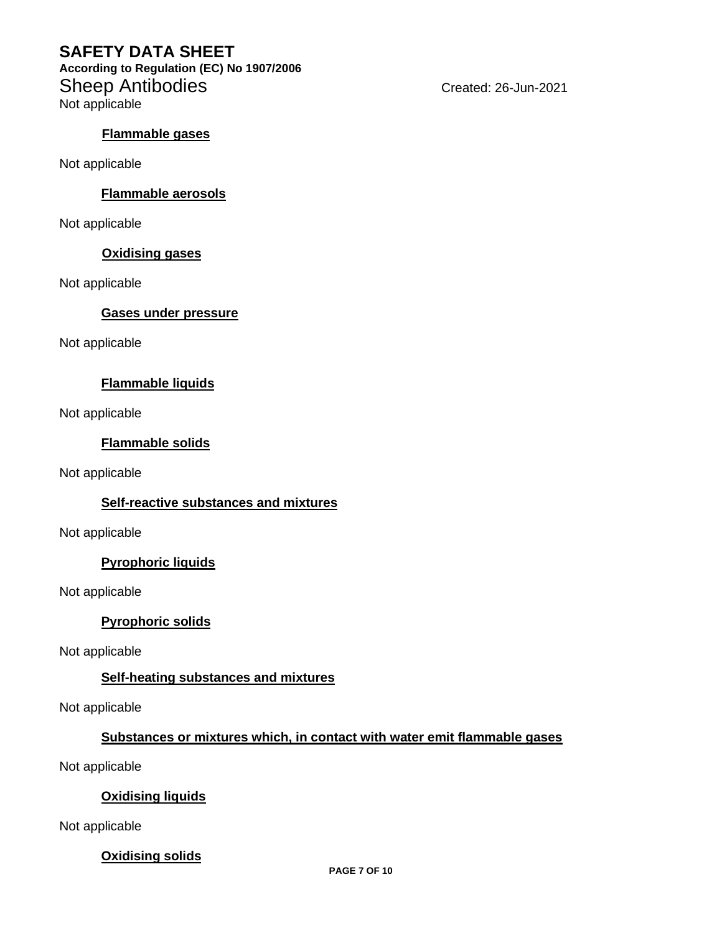**According to Regulation (EC) No 1907/2006**  Sheep Antibodies Created: 26-Jun-2021 Not applicable

### **Flammable gases**

Not applicable

### **Flammable aerosols**

Not applicable

### **Oxidising gases**

Not applicable

### **Gases under pressure**

Not applicable

### **Flammable liquids**

Not applicable

### **Flammable solids**

Not applicable

### **Self-reactive substances and mixtures**

Not applicable

### **Pyrophoric liquids**

Not applicable

### **Pyrophoric solids**

### Not applicable

### **Self-heating substances and mixtures**

Not applicable

### **Substances or mixtures which, in contact with water emit flammable gases**

Not applicable

### **Oxidising liquids**

Not applicable

### **Oxidising solids**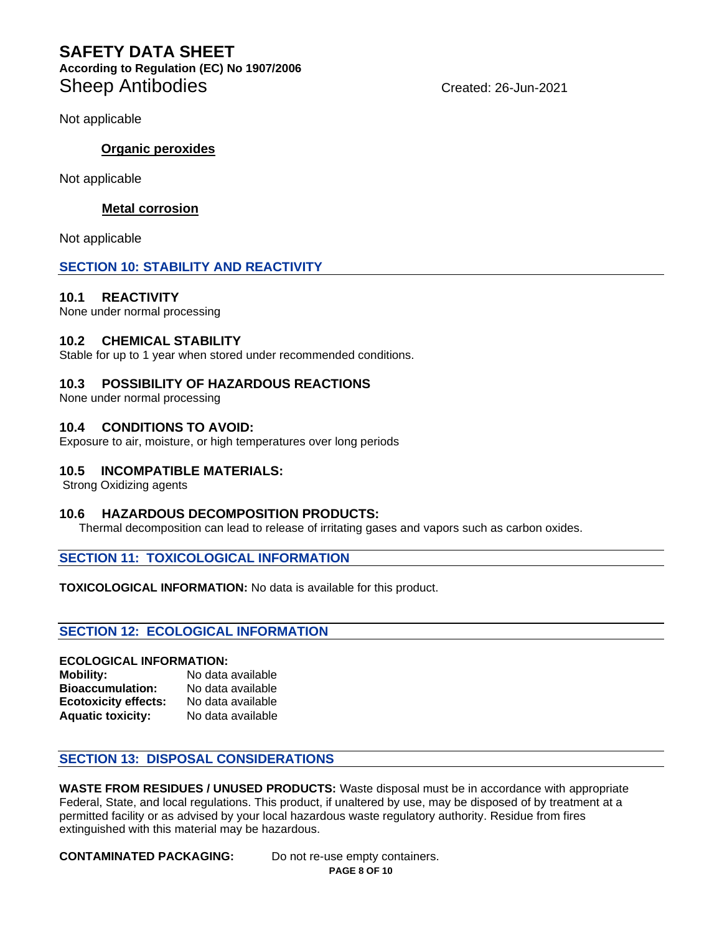**According to Regulation (EC) No 1907/2006**  Sheep Antibodies Created: 26-Jun-2021

Not applicable

### **Organic peroxides**

Not applicable

### **Metal corrosion**

Not applicable

### **SECTION 10: STABILITY AND REACTIVITY**

### **10.1 REACTIVITY**

None under normal processing

### **10.2 CHEMICAL STABILITY**

Stable for up to 1 year when stored under recommended conditions.

### **10.3 POSSIBILITY OF HAZARDOUS REACTIONS**

None under normal processing

### **10.4 CONDITIONS TO AVOID:**

Exposure to air, moisture, or high temperatures over long periods

### **10.5 INCOMPATIBLE MATERIALS:**

Strong Oxidizing agents

### **10.6 HAZARDOUS DECOMPOSITION PRODUCTS:**

Thermal decomposition can lead to release of irritating gases and vapors such as carbon oxides.

### **SECTION 11: TOXICOLOGICAL INFORMATION**

**TOXICOLOGICAL INFORMATION:** No data is available for this product.

### **SECTION 12: ECOLOGICAL INFORMATION**

### **ECOLOGICAL INFORMATION:**

| <b>Mobility:</b>            | No data available |
|-----------------------------|-------------------|
| <b>Bioaccumulation:</b>     | No data available |
| <b>Ecotoxicity effects:</b> | No data available |
| <b>Aquatic toxicity:</b>    | No data available |

### **SECTION 13: DISPOSAL CONSIDERATIONS**

**WASTE FROM RESIDUES / UNUSED PRODUCTS:** Waste disposal must be in accordance with appropriate Federal, State, and local regulations. This product, if unaltered by use, may be disposed of by treatment at a permitted facility or as advised by your local hazardous waste regulatory authority. Residue from fires extinguished with this material may be hazardous.

**CONTAMINATED PACKAGING:** Do not re-use empty containers.

**PAGE 8 OF 10**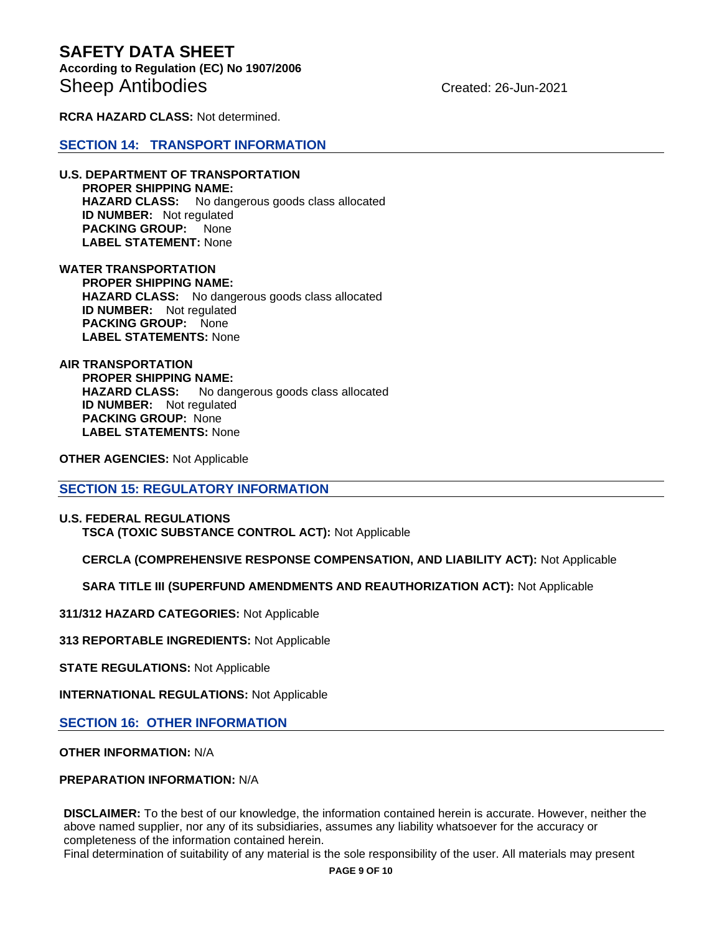**According to Regulation (EC) No 1907/2006**  Sheep Antibodies Created: 26-Jun-2021

**RCRA HAZARD CLASS:** Not determined.

### **SECTION 14: TRANSPORT INFORMATION**

**U.S. DEPARTMENT OF TRANSPORTATION PROPER SHIPPING NAME: HAZARD CLASS:** No dangerous goods class allocated **ID NUMBER:** Not regulated **PACKING GROUP:** None **LABEL STATEMENT:** None

**WATER TRANSPORTATION PROPER SHIPPING NAME: HAZARD CLASS:** No dangerous goods class allocated **ID NUMBER:** Not regulated **PACKING GROUP:** None **LABEL STATEMENTS:** None

**AIR TRANSPORTATION PROPER SHIPPING NAME: HAZARD CLASS:** No dangerous goods class allocated **ID NUMBER:** Not regulated  **PACKING GROUP:** None **LABEL STATEMENTS:** None

**OTHER AGENCIES:** Not Applicable

### **SECTION 15: REGULATORY INFORMATION**

**U.S. FEDERAL REGULATIONS TSCA (TOXIC SUBSTANCE CONTROL ACT):** Not Applicable

 **CERCLA (COMPREHENSIVE RESPONSE COMPENSATION, AND LIABILITY ACT):** Not Applicable

 **SARA TITLE III (SUPERFUND AMENDMENTS AND REAUTHORIZATION ACT):** Not Applicable

**311/312 HAZARD CATEGORIES:** Not Applicable

**313 REPORTABLE INGREDIENTS:** Not Applicable

**STATE REGULATIONS:** Not Applicable

**INTERNATIONAL REGULATIONS:** Not Applicable

**SECTION 16: OTHER INFORMATION**

**OTHER INFORMATION:** N/A

### **PREPARATION INFORMATION:** N/A

**DISCLAIMER:** To the best of our knowledge, the information contained herein is accurate. However, neither the above named supplier, nor any of its subsidiaries, assumes any liability whatsoever for the accuracy or completeness of the information contained herein.

Final determination of suitability of any material is the sole responsibility of the user. All materials may present